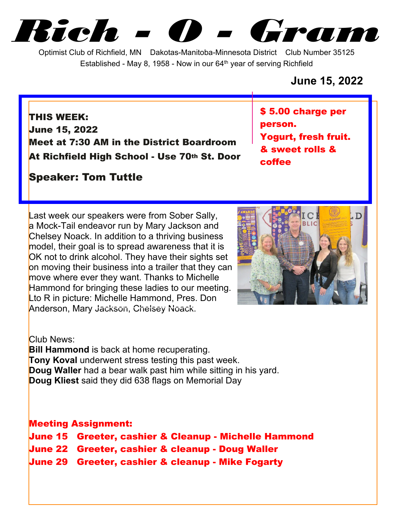*Rich - O - Gram*

Optimist Club of Richfield, MN Dakotas-Manitoba-Minnesota District Club Number 35125 Established - May 8, 1958 - Now in our  $64<sup>th</sup>$  year of serving Richfield

## **June 15, 2022**

**THIS WEEK: June 15, 2022 Meet at 7:30 AM in the District Boardroom At Richfield High School - Use 70th St. Door**

# **Speaker: Tom Tuttle**

**\$ 5.00 charge per person. Yogurt, fresh fruit. & sweet rolls & coffee**

Last week our speakers were from Sober Sally, a Mock-Tail endeavor run by Mary Jackson and Chelsey Noack. In addition to a thriving business model, their goal is to spread awareness that it is OK not to drink alcohol. They have their sights set on moving their business into a trailer that they can move where ever they want. Thanks to Michelle Hammond for bringing these ladies to our meeting. Lto R in picture: Michelle Hammond, Pres. Don Anderson, Mary Jackson, Chelsey Noack.



Club News:

**Bill Hammond** is back at home recuperating. **Tony Koval** underwent stress testing this past week. **Doug Waller** had a bear walk past him while sitting in his yard. **Doug Kliest** said they did 638 flags on Memorial Day

### **Meeting Assignment:**

- **June 15 Greeter, cashier & Cleanup Michelle Hammond**
- **June 22 Greeter, cashier & cleanup Doug Waller**
- **June 29 Greeter, cashier & cleanup Mike Fogarty**